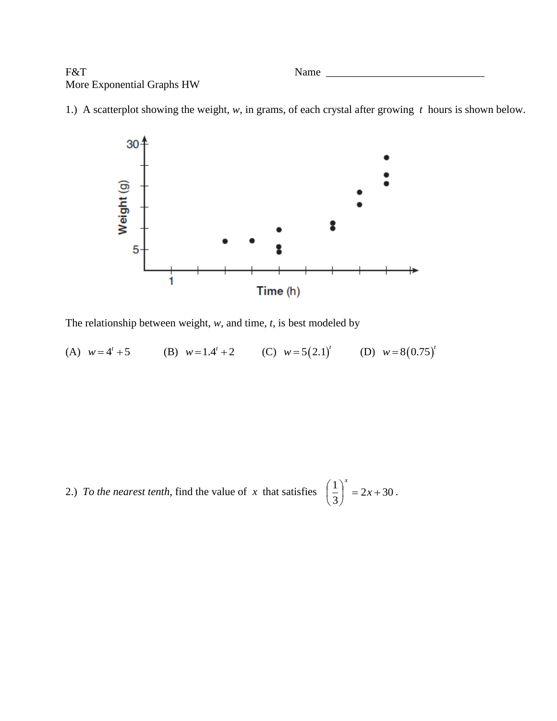F&T Name \_\_\_\_\_\_\_\_\_\_\_\_\_\_\_\_\_\_\_\_\_\_\_\_\_\_\_\_\_ More Exponential Graphs HW

1.) A scatterplot showing the weight, *w*, in grams, of each crystal after growing *t* hours is shown below.



The relationship between weight, *w*, and time, *t*, is best modeled by

(A)  $w = 4^t + 5$ (B)  $w=1.4^{t}+2$  (C)  $w=5(2.1)^{t}$  (D)  $w=8(0.75)^{t}$ 

2.) To the nearest tenth, find the value of x that satisfies  $\left| \frac{1}{2} \right| = 2x + 30$ 3  $\left(\frac{1}{2}\right)^{x} = 2x +$ J  $\left(\frac{1}{2}\right)$  $\setminus$  $\left(\frac{1}{2}\right)^{x} = 2x$ *x* .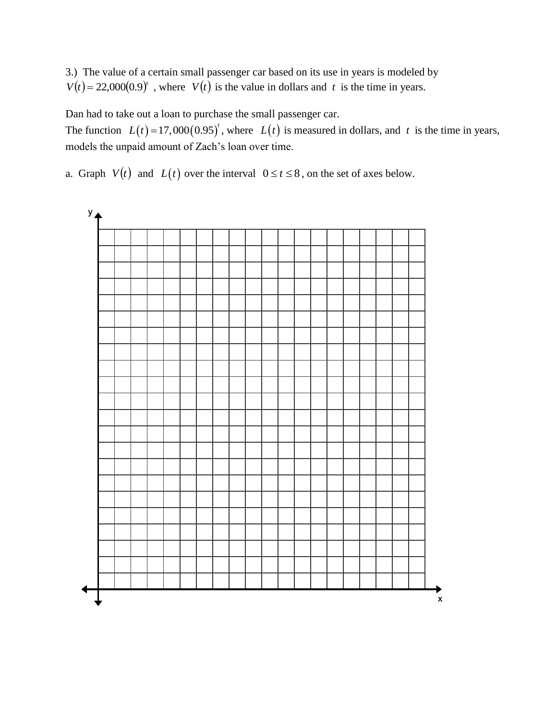3.) The value of a certain small passenger car based on its use in years is modeled by  $V(t) = 22,000(0.9)^t$ , where  $V(t)$  is the value in dollars and *t* is the time in years.

Dan had to take out a loan to purchase the small passenger car.

The function  $L(t) = 17,000(0.95)^t$ , where  $L(t)$  is measured in dollars, and t is the time in years, models the unpaid amount of Zach's loan over time.

a. Graph  $V(t)$  and  $L(t)$  over the interval  $0 \le t \le 8$ , on the set of axes below.